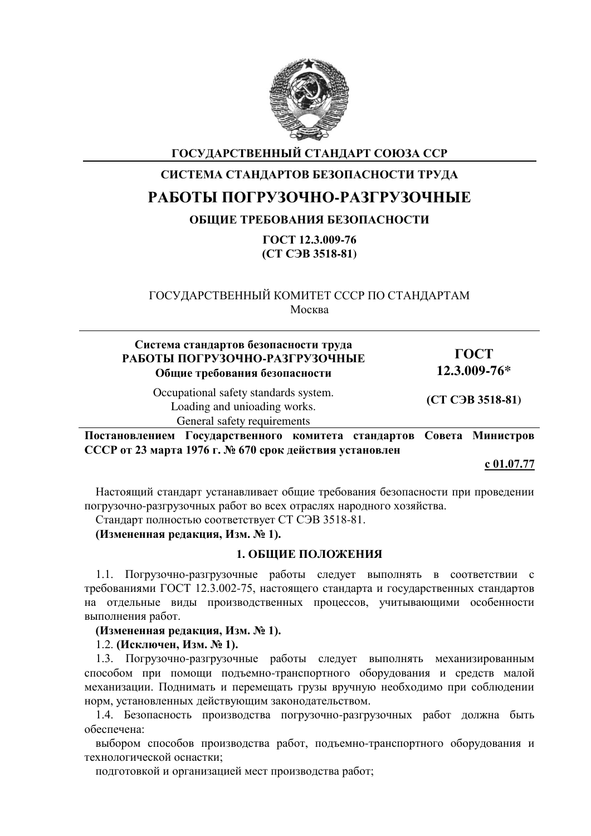

# ГОСУДАРСТВЕННЫЙ СТАНДАРТ СОЮЗА ССР

# СИСТЕМА СТАНДАРТОВ БЕЗОПАСНОСТИ ТРУДА

# **РАБОТЫ ПОГРУЗОЧНО-РАЗГРУЗОЧНЫЕ**

**ОБШИЕ ТРЕБОВАНИЯ БЕЗОПАСНОСТИ** 

**ȽɈɋɌ 12.3.009-76 (ɋɌ ɋɗȼ 3518-81)** 

ГОСУДАРСТВЕННЫЙ КОМИТЕТ СССР ПО СТАНДАРТАМ MOCKB<sub>a</sub>

| Система стандартов безопасности труда<br>РАБОТЫ ПОГРУЗОЧНО-РАЗГРУЗОЧНЫЕ<br>Общие требования безопасности | <b>TOCT</b><br>12.3.009-76*   |
|----------------------------------------------------------------------------------------------------------|-------------------------------|
| Occupational safety standards system.<br>Loading and unioading works.                                    | (CT C <sub>3</sub> B 3518-81) |
| General safety requirements                                                                              |                               |

Постановлением Государственного комитета стандартов Совета Министров СССР от 23 марта 1976 г. № 670 срок действия установлен

**ɫ 01.07.77**

Настоящий стандарт устанавливает общие требования безопасности при проведении погрузочно-разгрузочных работ во всех отраслях народного хозяйства.

Стандарт полностью соответствует СТ СЭВ 3518-81.

**(Измененная редакция, Изм. № 1).** 

# 1. ОБЩИЕ ПОЛОЖЕНИЯ

1.1. Погрузочно-разгрузочные работы следует выполнять в соответствии с требованиями ГОСТ 12.3.002-75, настоящего стандарта и государственных стандартов на отдельные виды производственных процессов, учитывающими особенности выполнения работ.

# **(Измененная редакция, Изм. № 1).**

1.2. (Исключен, Изм. № 1).

1.3. Погрузочно-разгрузочные работы следует выполнять механизированным способом при помощи подъемно-транспортного оборудования и средств малой механизации. Поднимать и перемещать грузы вручную необходимо при соблюдении норм, установленных действующим законодательством.

1.4. Безопасность производства погрузочно-разгрузочных работ должна быть обеспечена:

выбором способов производства работ, подъемно-транспортного оборудования и технологической оснастки:

подготовкой и организацией мест производства работ;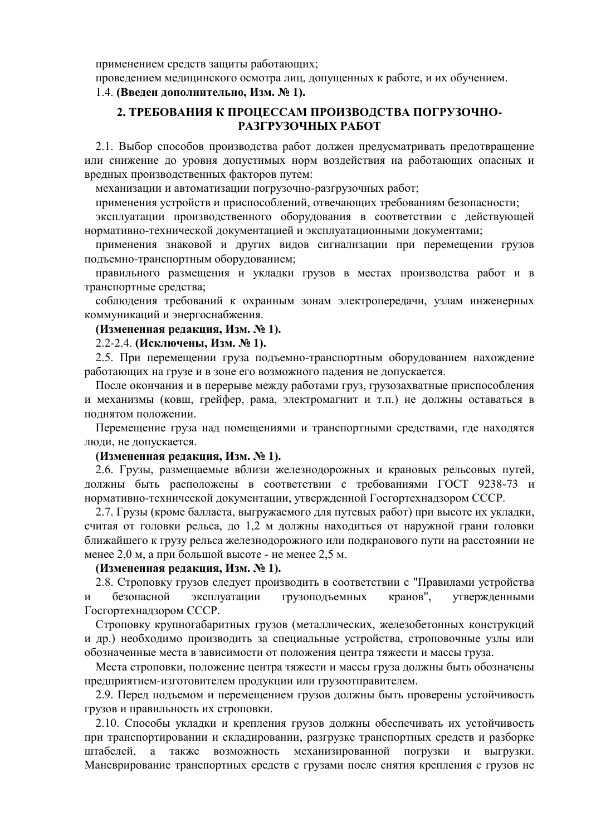применением средств защиты работающих;

проведением медицинского осмотра лиц, допущенных к работе, и их обучением. 1.4. **(Введен дополнительно, Изм. № 1).** 

### 2. ТРЕБОВАНИЯ К ПРОЦЕССАМ ПРОИЗВОДСТВА ПОГРУЗОЧНО-РАЗГРУЗОЧНЫХ РАБОТ

2.1. Выбор способов производства работ должен предусматривать предотвращение или снижение до уровня допустимых норм воздействия на работающих опасных и вредных производственных факторов путем:

механизации и автоматизации погрузочно-разгрузочных работ;

применения устройств и приспособлений, отвечающих требованиям безопасности;

эксплуатации производственного оборудования в соответствии с действующей нормативно-технической документацией и эксплуатационными документами;

применения знаковой и других видов сигнализации при перемещении грузов подъемно-транспортным оборудованием;

правильного размещения и укладки грузов в местах производства работ и в транспортные средства;

соблюдения требований к охранным зонам электропередачи, узлам инженерных коммуникаций и энергоснабжения.

### **(Измененная редакция, Изм. № 1).**

### 2.2-2.4. **(Исключены, Изм. № 1).**

2.5. При перемещении груза подъемно-транспортным оборудованием нахождение работающих на грузе и в зоне его возможного падения не допускается.

После окончания и в перерыве между работами груз, грузозахватные приспособления и механизмы (ковш, грейфер, рама, электромагнит и т.п.) не должны оставаться в поднятом положении.

Перемещение груза над помещениями и транспортными средствами, где находятся люди, не допускается.

### **(Измененная редакция, Изм. № 1).**

2.6. Грузы, размещаемые вблизи железнодорожных и крановых рельсовых путей, должны быть расположены в соответствии с требованиями ГОСТ 9238-73 и нормативно-технической документации, утвержденной Госгортехнадзором СССР.

2.7. Грузы (кроме балласта, выгружаемого для путевых работ) при высоте их укладки, считая от головки рельса, до 1,2 м должны находиться от наружной грани головки ближайшего к грузу рельса железнодорожного или подкранового пути на расстоянии не менее 2,0 м, а при большой высоте - не менее 2,5 м.

#### **(Измененная редакция, Изм. № 1).**

2.8. Строповку грузов следует производить в соответствии с "Правилами устройства и безопасной эксплуатации грузополъемных кранов", утвержденными Госгортехнадзором СССР.

Строповку крупногабаритных грузов (металлических, железобетонных конструкций и др.) необходимо производить за специальные устройства, строповочные узлы или обозначенные места в зависимости от положения центра тяжести и массы груза.

Места строповки, положение центра тяжести и массы груза должны быть обозначены предприятием-изготовителем продукции или грузоотправителем.

2.9. Перед подъемом и перемещением грузов должны быть проверены устойчивость грузов и правильность их строповки.

2.10. Способы уклалки и крепления грузов должны обеспечивать их устойчивость при транспортировании и складировании, разгрузке транспортных средств и разборке штабелей, а также возможность механизированной погрузки и выгрузки. Маневрирование транспортных средств с грузами после снятия крепления с грузов не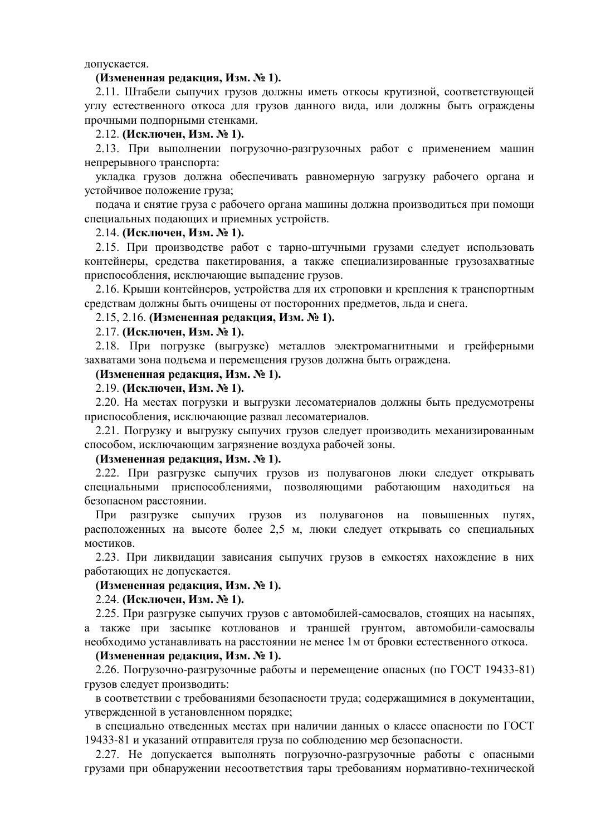лопускается.

#### **(Измененная редакция, Изм. № 1).**

2.11. Штабели сыпучих грузов должны иметь откосы крутизной, соответствующей углу естественного откоса для грузов данного вида, или должны быть ограждены прочными подпорными стенками.

#### 2.12. **(Исключен, Изм. № 1).**

2.13. При выполнении погрузочно-разгрузочных работ с применением машин непрерывного транспорта:

укладка грузов должна обеспечивать равномерную загрузку рабочего органа и устойчивое положение груза;

подача и снятие груза с рабочего органа машины должна производиться при помощи специальных подающих и приемных устройств.

### 2.14. (Исключен, Изм. № 1).

2.15. При производстве работ с тарно-штучными грузами следует использовать контейнеры, средства пакетирования, а также специализированные грузозахватные приспособления, исключающие выпадение грузов.

2.16. Крыши контейнеров, устройства для их строповки и крепления к транспортным средствам должны быть очищены от посторонних предметов, льда и снега.

#### 2.15, 2.16. **(Измененная редакция, Изм. № 1).**

#### 2.17. **(Исключен, Изм. № 1).**

2.18. При погрузке (выгрузке) металлов электромагнитными и грейферными захватами зона подъема и перемещения грузов должна быть ограждена.

### **(Измененная редакция, Изм. № 1).**

2.19. **(Исключен, Изм. № 1).** 

2.20. На местах погрузки и выгрузки лесоматериалов должны быть предусмотрены приспособления, исключающие развал лесоматериалов.

2.21. Погрузку и выгрузку сыпучих грузов следует производить механизированным способом, исключающим загрязнение воздуха рабочей зоны.

#### **(Измененная редакция, Изм. № 1).**

2.22. При разгрузке сыпучих грузов из полувагонов люки следует открывать специальными приспособлениями, позволяющими работающим находиться на безопасном расстоянии.

При разгрузке сыпучих грузов из полувагонов на повышенных путях, расположенных на высоте более 2,5 м, люки следует открывать со специальных мостиков.

2.23. При ликвидации зависания сыпучих грузов в емкостях нахождение в них работающих не допускается.

#### **(Измененная редакция, Изм. № 1).**

#### 2.24. **(Исключен, Изм. № 1).**

2.25. При разгрузке сыпучих грузов с автомобилей-самосвалов, стоящих на насыпях, а также при засыпке котлованов и траншей грунтом, автомобили-самосвалы необходимо устанавливать на расстоянии не менее 1м от бровки естественного откоса.

#### **(Измененная редакция, Изм. № 1).**

2.26. Погрузочно-разгрузочные работы и перемещение опасных (по ГОСТ 19433-81) грузов следует производить:

в соответствии с требованиями безопасности труда; содержащимися в документации, утвержденной в установленном порядке;

в специально отведенных местах при наличии данных о классе опасности по ГОСТ 19433-81 и указаний отправителя груза по соблюдению мер безопасности.

2.27. Не допускается выполнять погрузочно-разгрузочные работы с опасными грузами при обнаружении несоответствия тары требованиям нормативно-технической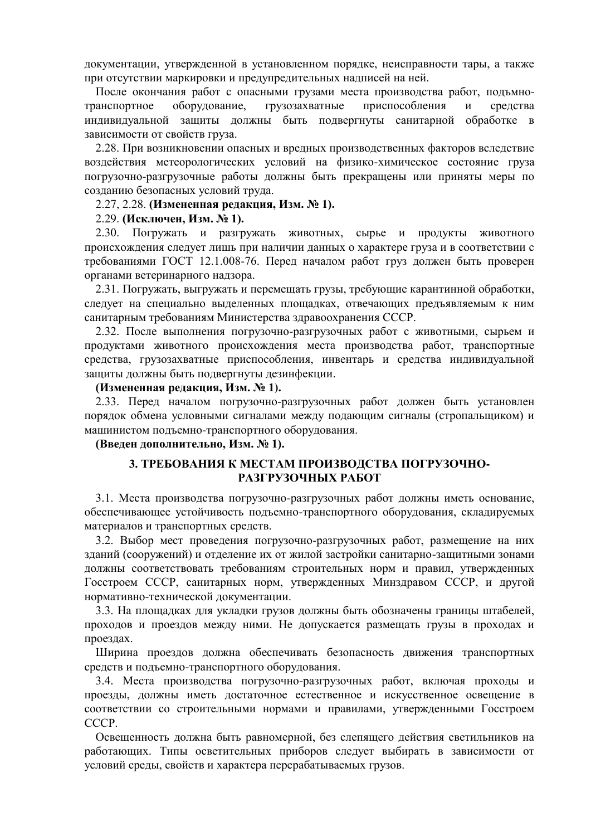документации, утвержденной в установленном порядке, неисправности тары, а также при отсутствии маркировки и предупредительных надписей на ней.

После окончания работ с опасными грузами места производства работ, подъмнотранспортное оборулование грузозахватные приспособления и средства индивидуальной защиты должны быть подвергнуты санитарной обработке в зависимости от свойств груза.

2.28. При возникновении опасных и вредных производственных факторов вследствие воздействия метеорологических условий на физико-химическое состояние груза погрузочно-разгрузочные работы должны быть прекращены или приняты меры по созданию безопасных условий труда.

### 2.27, 2.28. **(Измененная редакция, Изм. № 1).**

#### 2.29. **(Исключен, Изм. № 1).**

2.30. Погружать и разгружать животных, сырье и продукты животного происхождения следует лишь при наличии данных о характере груза и в соответствии с требованиями ГОСТ 12.1.008-76. Перед началом работ груз должен быть проверен органами ветеринарного надзора.

2.31. Погружать, выгружать и перемещать грузы, требующие карантинной обработки, следует на специально выделенных площадках, отвечающих предъявляемым к ним санитарным требованиям Министерства здравоохранения СССР.

2.32. После выполнения погрузочно-разгрузочных работ с животными, сырьем и продуктами животного происхождения места производства работ, транспортные средства, грузозахватные приспособления, инвентарь и средства индивидуальной защиты должны быть подвергнуты дезинфекции.

### **(Измененная редакция, Изм. № 1).**

2.33. Перед началом погрузочно-разгрузочных работ должен быть установлен порядок обмена условными сигналами между подающим сигналы (стропальщиком) и машинистом подъемно-транспортного оборудования.

### **(Введен дополнительно, Изм. № 1).**

## 3. ТРЕБОВАНИЯ К МЕСТАМ ПРОИЗВОДСТВА ПОГРУЗОЧНО-РАЗГРУЗОЧНЫХ РАБОТ

3.1. Места производства погрузочно-разгрузочных работ должны иметь основание. обеспечивающее устойчивость подъемно-транспортного оборудования, складируемых материалов и транспортных средств.

3.2. Выбор мест проведения погрузочно-разгрузочных работ, размещение на них зданий (сооружений) и отделение их от жилой застройки санитарно-защитными зонами должны соответствовать требованиям строительных норм и правил, утвержденных Госстроем СССР, санитарных норм, утвержденных Минздравом СССР, и другой нормативно-технической локументации.

3.3. На площадках для укладки грузов должны быть обозначены границы штабелей, проходов и проездов между ними. Не допускается размещать грузы в проходах и проездах.

Ширина проездов должна обеспечивать безопасность движения транспортных средств и подъемно-транспортного оборудования.

3.4. Места производства погрузочно-разгрузочных работ, включая проходы и проезды, должны иметь достаточное естественное и искусственное освещение в соответствии со строительными нормами и правилами, утвержденными Госстроем CCCP.

Освещенность должна быть равномерной, без слепящего действия светильников на работающих. Типы осветительных приборов следует выбирать в зависимости от условий среды, свойств и характера перерабатываемых грузов.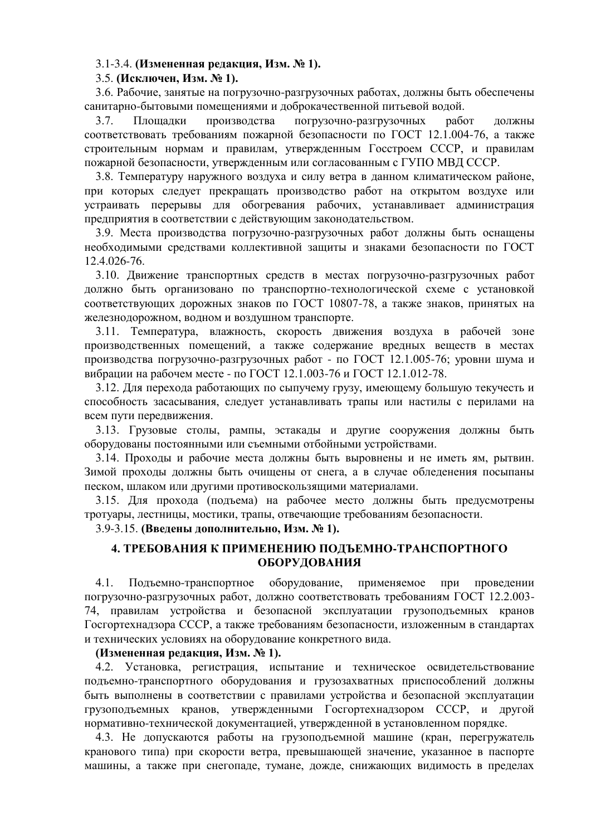### 3.1-3.4. **(Измененная редакция, Изм. № 1).**

### 3.5. **(Исключен, Изм. № 1).**

3.6. Рабочие, занятые на погрузочно-разгрузочных работах, должны быть обеспечены санитарно-бытовыми помещениями и доброкачественной питьевой водой.

3.7. Площадки производства погрузочно-разгрузочных работ должны соответствовать требованиям пожарной безопасности по ГОСТ 12.1.004-76, а также строительным нормам и правилам, утвержденным Госстроем СССР, и правилам пожарной безопасности, утвержденным или согласованным с ГУПО МВД СССР.

3.8. Температуру наружного воздуха и силу ветра в данном климатическом районе, при которых следует прекращать производство работ на открытом воздухе или устраивать перерывы для обогревания рабочих, устанавливает администрация предприятия в соответствии с действующим законодательством.

3.9. Места производства погрузочно-разгрузочных работ должны быть оснащены необходимыми средствами коллективной защиты и знаками безопасности по ГОСТ 12.4.026-76.

3.10. Движение транспортных средств в местах погрузочно-разгрузочных работ должно быть организовано по транспортно-технологической схеме с установкой соответствующих дорожных знаков по ГОСТ 10807-78, а также знаков, принятых на железнодорожном, водном и воздушном транспорте.

3.11. Температура, влажность, скорость движения воздуха в рабочей зоне производственных помещений, а также содержание вредных веществ в местах производства погрузочно-разгрузочных работ - по ГОСТ 12.1.005-76; уровни шума и вибрации на рабочем месте - по ГОСТ 12.1.003-76 и ГОСТ 12.1.012-78.

3.12. Для перехода работающих по сыпучему грузу, имеющему большую текучесть и способность засасывания, следует устанавливать трапы или настилы с перилами на всем пути передвижения.

3.13. Грузовые столы, рампы, эстакады и другие сооружения должны быть оборудованы постоянными или съемными отбойными устройствами.

3.14. Проходы и рабочие места должны быть выровнены и не иметь ям, рытвин. Зимой проходы должны быть очищены от снега, а в случае обледенения посыпаны песком, шлаком или другими противоскользящими материалами.

3.15. Для прохода (подъема) на рабочее место должны быть предусмотрены тротуары, лестницы, мостики, трапы, отвечающие требованиям безопасности.

3.9-3.15. **(Введены дополнительно, Изм. № 1).** 

# 4. ТРЕБОВАНИЯ К ПРИМЕНЕНИЮ ПОЛЪЕМНО-ТРАНСПОРТНОГО **ОБОРУДОВАНИЯ**

4.1. Подъемно-транспортное оборудование, применяемое при проведении погрузочно-разгрузочных работ, должно соответствовать требованиям ГОСТ 12.2.003-74, правилам устройства и безопасной эксплуатации грузоподъемных кранов Госгортехнадзора СССР, а также требованиям безопасности, изложенным в стандартах и технических условиях на оборудование конкретного вида.

### **(Измененная редакция, Изм. № 1).**

4.2. Установка, регистрация, испытание и техническое освидетельствование подъемно-транспортного оборудования и грузозахватных приспособлений должны быть выполнены в соответствии с правилами устройства и безопасной эксплуатации грузоподъемных кранов, утвержденными Госгортехнадзором СССР, и другой нормативно-технической документацией, утвержденной в установленном порядке.

4.3. Не допускаются работы на грузоподъемной машине (кран, перегружатель кранового типа) при скорости ветра, превышающей значение, указанное в паспорте машины, а также при снегопаде, тумане, дожде, снижающих видимость в пределах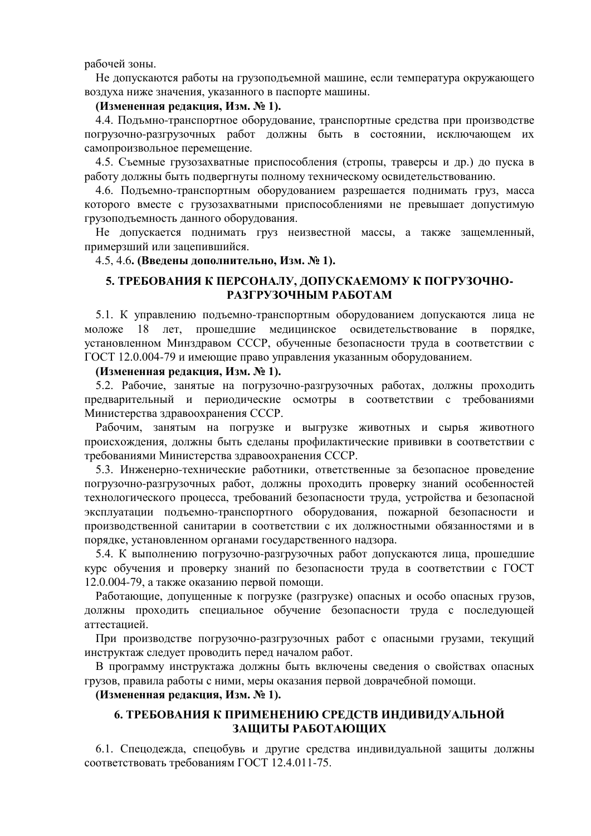рабочей зоны.

Не допускаются работы на грузоподъемной машине, если температура окружающего воздуха ниже значения, указанного в паспорте машины.

### **(Измененная редакция, Изм. № 1).**

4.4. Подъмно-транспортное оборудование, транспортные средства при производстве погрузочно-разгрузочных работ должны быть в состоянии, исключающем их самопроизвольное перемещение.

4.5. Съемные грузозахватные приспособления (стропы, траверсы и др.) до пуска в работу должны быть подвергнуты полному техническому освидетельствованию.

4.6. Подъемно-транспортным оборудованием разрешается поднимать груз, масса которого вместе с грузозахватными приспособлениями не превышает допустимую грузоподъемность данного оборудования.

Не допускается поднимать груз неизвестной массы, а также защемленный, примерзший или зацепившийся.

4.5, 4.6. (Введены дополнительно, Изм. № 1).

# 5. ТРЕБОВАНИЯ К ПЕРСОНАЛУ, ДОПУСКАЕМОМУ К ПОГРУЗОЧНО-РАЗГРУЗОЧНЫМ РАБОТАМ

5.1. К управлению подъемно-транспортным оборудованием допускаются лица не моложе 18 лет, прошедшие медицинское освидетельствование в порядке, установленном Минздравом СССР, обученные безопасности труда в соответствии с ГОСТ 12.0.004-79 и имеющие право управления указанным оборудованием.

### **(Измененная редакция, Изм. № 1).**

5.2. Рабочие, занятые на погрузочно-разгрузочных работах, должны проходить предварительный и периодические осмотры в соответствии с требованиями Министерства здравоохранения СССР.

Рабочим, занятым на погрузке и выгрузке животных и сырья животного происхождения, должны быть сделаны профилактические прививки в соответствии с требованиями Министерства здравоохранения СССР.

5.3. Инженерно-технические работники, ответственные за безопасное проведение погрузочно-разгрузочных работ, должны проходить проверку знаний особенностей технологического процесса, требований безопасности труда, устройства и безопасной эксплуатации подъемно-транспортного оборудования, пожарной безопасности и производственной санитарии в соответствии с их должностными обязанностями и в порядке, установленном органами государственного надзора.

5.4. К выполнению погрузочно-разгрузочных работ допускаются лица, прошедшие курс обучения и проверку знаний по безопасности труда в соответствии с ГОСТ 12.0.004-79, а также оказанию первой помощи.

Работающие, допущенные к погрузке (разгрузке) опасных и особо опасных грузов, должны проходить специальное обучение безопасности труда с последующей аттестацией.

При производстве погрузочно-разгрузочных работ с опасными грузами, текущий инструктаж следует проводить перед началом работ.

В программу инструктажа должны быть включены сведения о свойствах опасных грузов, правила работы с ними, меры оказания первой ловрачебной помоши.

### **(Измененная редакция, Изм. № 1).**

# **6. ТРЕБОВАНИЯ К ПРИМЕНЕНИЮ СРЕЛСТВ ИНЛИВИЛУАЛЬНОЙ** ЗАЩИТЫ РАБОТАЮЩИХ

6.1. Спецодежда, спецобувь и другие средства индивидуальной защиты должны соответствовать требованиям ГОСТ 12.4.011-75.